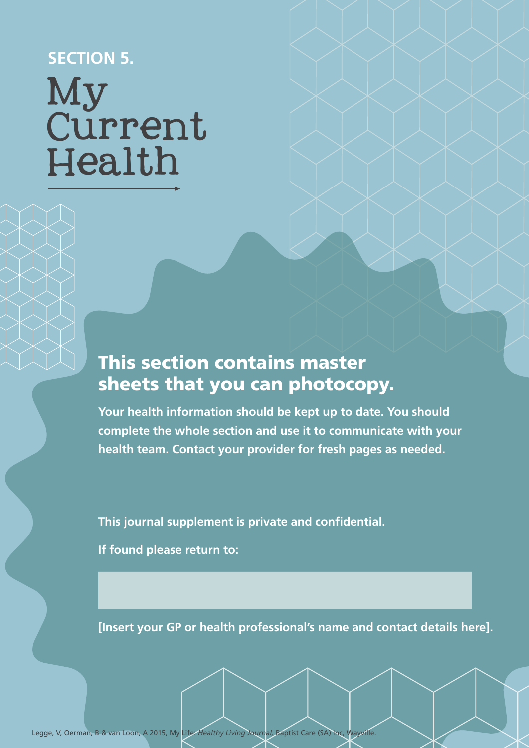### **SECTION 5.**

# My Current Health

## This section contains master sheets that you can photocopy.

**Your health information should be kept up to date. You should complete the whole section and use it to communicate with your health team. Contact your provider for fresh pages as needed.**

**This journal supplement is private and confidential.** 

**If found please return to:**

**[Insert your GP or health professional's name and contact details here].**

Legge, V, Oerman, B & van Loon, A 2015, My Life: *Healthy Living Journal,* Baptist Care (SA) Inc, Wayville.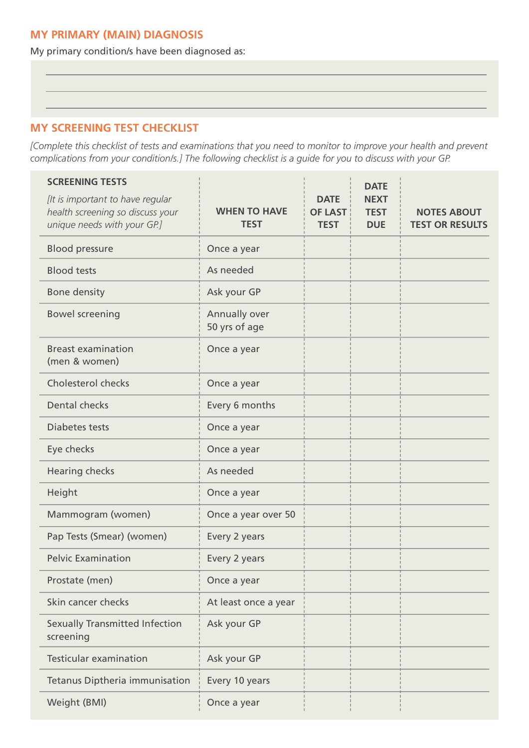#### **MY PRIMARY (MAIN) DIAGNOSIS**

My primary condition/s have been diagnosed as:

#### **MY SCREENING TEST CHECKLIST**

*[Complete this checklist of tests and examinations that you need to monitor to improve your health and prevent complications from your condition/s.] The following checklist is a guide for you to discuss with your GP.*

| <b>SCREENING TESTS</b><br>[It is important to have regular<br>health screening so discuss your | <b>WHEN TO HAVE</b>            | <b>DATE</b><br><b>OF LAST</b> | <b>DATE</b><br><b>NEXT</b><br><b>TEST</b> | <b>NOTES ABOUT</b>     |
|------------------------------------------------------------------------------------------------|--------------------------------|-------------------------------|-------------------------------------------|------------------------|
| unique needs with your GP.]                                                                    | <b>TEST</b>                    | <b>TEST</b>                   | <b>DUE</b>                                | <b>TEST OR RESULTS</b> |
| <b>Blood pressure</b>                                                                          | Once a year                    |                               |                                           |                        |
| <b>Blood tests</b>                                                                             | As needed                      |                               |                                           |                        |
| <b>Bone density</b>                                                                            | Ask your GP                    |                               |                                           |                        |
| <b>Bowel screening</b>                                                                         | Annually over<br>50 yrs of age |                               |                                           |                        |
| <b>Breast examination</b><br>(men & women)                                                     | Once a year                    |                               |                                           |                        |
| <b>Cholesterol checks</b>                                                                      | Once a year                    |                               |                                           |                        |
| <b>Dental checks</b>                                                                           | Every 6 months                 |                               |                                           |                        |
| Diabetes tests                                                                                 | Once a year                    |                               |                                           |                        |
| Eye checks                                                                                     | Once a year                    |                               |                                           |                        |
| <b>Hearing checks</b>                                                                          | As needed                      |                               |                                           |                        |
| Height                                                                                         | Once a year                    |                               |                                           |                        |
| Mammogram (women)                                                                              | Once a year over 50            |                               |                                           |                        |
| Pap Tests (Smear) (women)                                                                      | Every 2 years                  |                               |                                           |                        |
| <b>Pelvic Examination</b>                                                                      | Every 2 years                  |                               |                                           |                        |
| Prostate (men)                                                                                 | Once a year                    |                               |                                           |                        |
| Skin cancer checks                                                                             | At least once a year           |                               |                                           |                        |
| <b>Sexually Transmitted Infection</b><br>screening                                             | Ask your GP                    |                               |                                           |                        |
| <b>Testicular examination</b>                                                                  | Ask your GP                    |                               |                                           |                        |
| Tetanus Diptheria immunisation                                                                 | Every 10 years                 |                               |                                           |                        |
| Weight (BMI)                                                                                   | Once a year                    |                               |                                           |                        |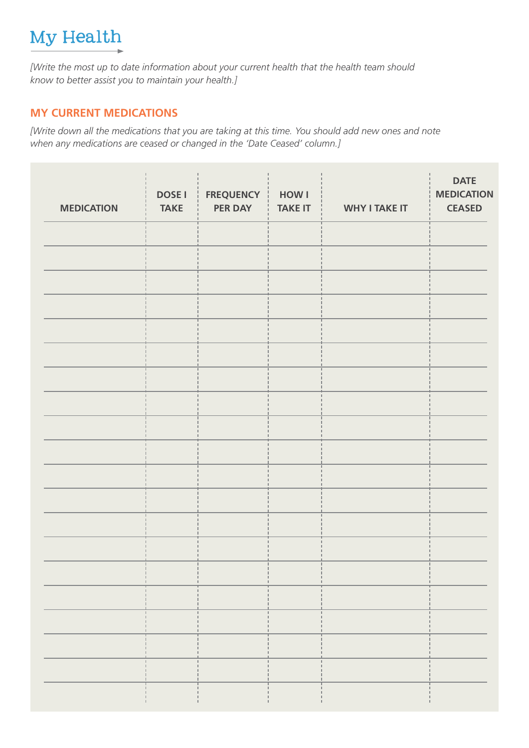## My Health

*[Write the most up to date information about your current health that the health team should know to better assist you to maintain your health.]* 

#### **MY CURRENT MEDICATIONS**

*[Write down all the medications that you are taking at this time. You should add new ones and note when any medications are ceased or changed in the 'Date Ceased' column.]* 

| <b>MEDICATION</b> | <b>DOSE I</b><br><b>TAKE</b> | <b>FREQUENCY</b><br><b>PER DAY</b> | <b>HOW I</b><br><b>TAKE IT</b> | <b>WHY I TAKE IT</b> | <b>DATE</b><br><b>MEDICATION</b><br><b>CEASED</b> |
|-------------------|------------------------------|------------------------------------|--------------------------------|----------------------|---------------------------------------------------|
|                   |                              |                                    |                                |                      |                                                   |
|                   |                              |                                    |                                |                      |                                                   |
|                   |                              |                                    |                                |                      |                                                   |
|                   |                              |                                    |                                |                      |                                                   |
|                   |                              |                                    |                                |                      |                                                   |
|                   |                              |                                    |                                |                      |                                                   |
|                   |                              |                                    |                                |                      |                                                   |
|                   |                              |                                    |                                |                      |                                                   |
|                   |                              |                                    |                                |                      |                                                   |
|                   |                              |                                    |                                |                      |                                                   |
|                   |                              |                                    |                                |                      |                                                   |
|                   |                              |                                    |                                |                      |                                                   |
|                   |                              |                                    |                                |                      |                                                   |
|                   |                              |                                    |                                |                      |                                                   |
|                   |                              |                                    |                                |                      |                                                   |
|                   |                              |                                    |                                | н.                   |                                                   |
|                   |                              |                                    |                                |                      |                                                   |
|                   |                              |                                    |                                | u,                   |                                                   |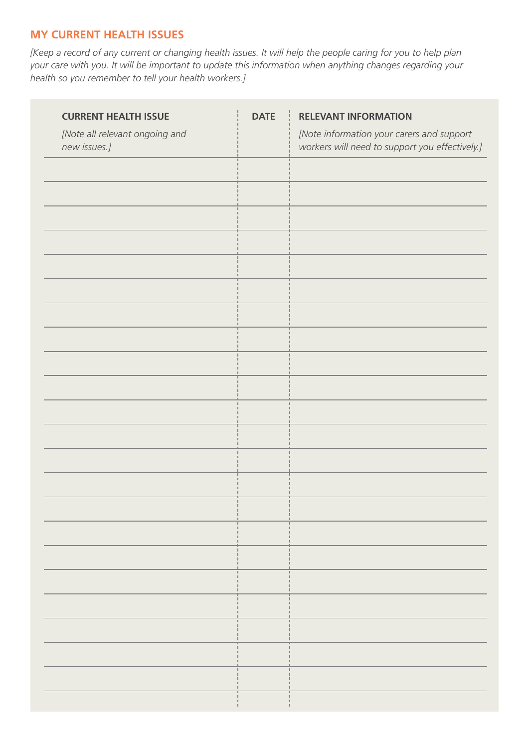#### **MY CURRENT HEALTH ISSUES**

*[Keep a record of any current or changing health issues. It will help the people caring for you to help plan your care with you. It will be important to update this information when anything changes regarding your health so you remember to tell your health workers.]* 

| <b>CURRENT HEALTH ISSUE</b>                    | <b>DATE</b> | <b>RELEVANT INFORMATION</b>                                                                 |
|------------------------------------------------|-------------|---------------------------------------------------------------------------------------------|
| [Note all relevant ongoing and<br>new issues.] |             | [Note information your carers and support<br>workers will need to support you effectively.] |
|                                                |             |                                                                                             |
|                                                |             |                                                                                             |
|                                                |             |                                                                                             |
|                                                |             |                                                                                             |
|                                                |             |                                                                                             |
|                                                |             |                                                                                             |
|                                                |             |                                                                                             |
|                                                |             |                                                                                             |
|                                                |             |                                                                                             |
|                                                |             |                                                                                             |
|                                                |             |                                                                                             |
|                                                |             |                                                                                             |
|                                                |             |                                                                                             |
|                                                |             |                                                                                             |
|                                                |             |                                                                                             |
|                                                |             |                                                                                             |
|                                                |             |                                                                                             |
|                                                |             |                                                                                             |
|                                                |             |                                                                                             |
|                                                |             |                                                                                             |
|                                                |             |                                                                                             |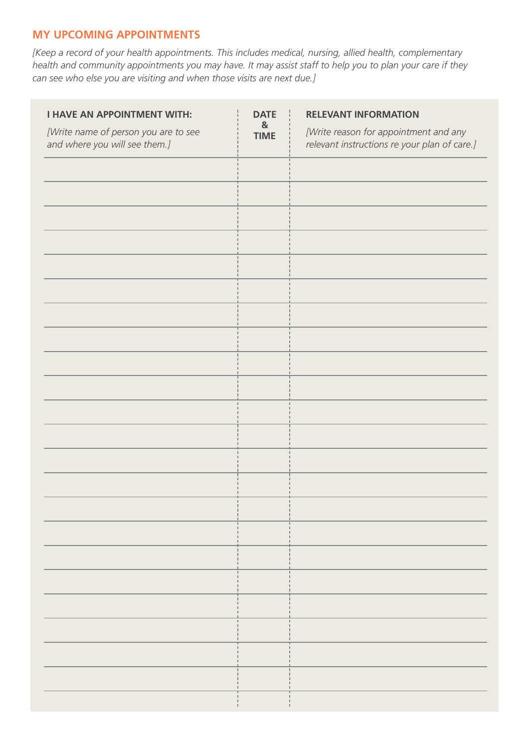#### **MY UPCOMING APPOINTMENTS**

*[Keep a record of your health appointments. This includes medical, nursing, allied health, complementary health and community appointments you may have. It may assist staff to help you to plan your care if they can see who else you are visiting and when those visits are next due.]* 

| <b>I HAVE AN APPOINTMENT WITH:</b>                                    | <b>DATE</b>                 | <b>RELEVANT INFORMATION</b>                                                           |
|-----------------------------------------------------------------------|-----------------------------|---------------------------------------------------------------------------------------|
| [Write name of person you are to see<br>and where you will see them.] | $\mathbf{g}$<br><b>TIME</b> | [Write reason for appointment and any<br>relevant instructions re your plan of care.] |
|                                                                       |                             |                                                                                       |
|                                                                       |                             |                                                                                       |
|                                                                       |                             |                                                                                       |
|                                                                       |                             |                                                                                       |
|                                                                       |                             |                                                                                       |
|                                                                       |                             |                                                                                       |
|                                                                       |                             |                                                                                       |
|                                                                       |                             |                                                                                       |
|                                                                       |                             |                                                                                       |
|                                                                       |                             |                                                                                       |
|                                                                       |                             |                                                                                       |
|                                                                       |                             |                                                                                       |
|                                                                       |                             |                                                                                       |
|                                                                       |                             |                                                                                       |
|                                                                       |                             |                                                                                       |
|                                                                       |                             |                                                                                       |
|                                                                       |                             |                                                                                       |
|                                                                       |                             |                                                                                       |
|                                                                       |                             |                                                                                       |
|                                                                       |                             |                                                                                       |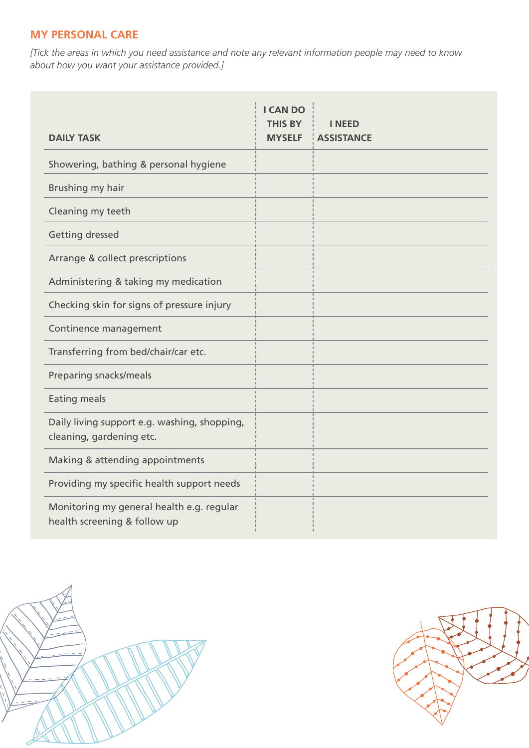#### **MY PERSONAL CARE**

*[Tick the areas in which you need assistance and note any relevant information people may need to know about how you want your assistance provided.]*

| <b>DAILY TASK</b>                                                         | <b>I CAN DO</b><br><b>THIS BY</b><br><b>MYSELF</b> | <b>I NEED</b><br><b>ASSISTANCE</b> |
|---------------------------------------------------------------------------|----------------------------------------------------|------------------------------------|
| Showering, bathing & personal hygiene                                     |                                                    |                                    |
| Brushing my hair                                                          |                                                    |                                    |
| Cleaning my teeth                                                         |                                                    |                                    |
| <b>Getting dressed</b>                                                    |                                                    |                                    |
| Arrange & collect prescriptions                                           |                                                    |                                    |
| Administering & taking my medication                                      |                                                    |                                    |
| Checking skin for signs of pressure injury                                |                                                    |                                    |
| Continence management                                                     |                                                    |                                    |
| Transferring from bed/chair/car etc.                                      |                                                    |                                    |
| Preparing snacks/meals                                                    |                                                    |                                    |
| <b>Eating meals</b>                                                       |                                                    |                                    |
| Daily living support e.g. washing, shopping,<br>cleaning, gardening etc.  |                                                    |                                    |
| Making & attending appointments                                           |                                                    |                                    |
| Providing my specific health support needs                                |                                                    |                                    |
| Monitoring my general health e.g. regular<br>health screening & follow up |                                                    |                                    |



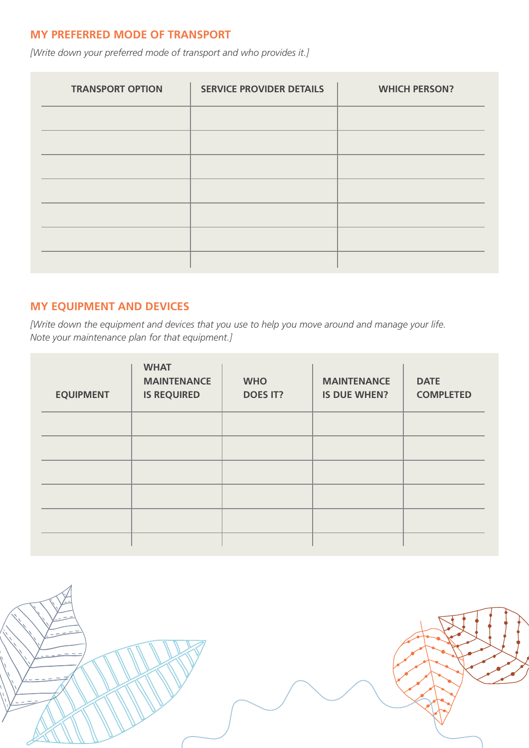#### **MY PREFERRED MODE OF TRANSPORT**

*[Write down your preferred mode of transport and who provides it.]*

| <b>TRANSPORT OPTION</b> | <b>SERVICE PROVIDER DETAILS</b> | <b>WHICH PERSON?</b> |
|-------------------------|---------------------------------|----------------------|
|                         |                                 |                      |
|                         |                                 |                      |
|                         |                                 |                      |
|                         |                                 |                      |
|                         |                                 |                      |
|                         |                                 |                      |
|                         |                                 |                      |

#### **MY EQUIPMENT AND DEVICES**

*[Write down the equipment and devices that you use to help you move around and manage your life. Note your maintenance plan for that equipment.]*

| <b>EQUIPMENT</b> | <b>WHAT</b><br><b>MAINTENANCE</b><br><b>IS REQUIRED</b> | <b>WHO</b><br><b>DOES IT?</b> | <b>MAINTENANCE</b><br><b>IS DUE WHEN?</b> | <b>DATE</b><br><b>COMPLETED</b> |
|------------------|---------------------------------------------------------|-------------------------------|-------------------------------------------|---------------------------------|
|                  |                                                         |                               |                                           |                                 |
|                  |                                                         |                               |                                           |                                 |
|                  |                                                         |                               |                                           |                                 |
|                  |                                                         |                               |                                           |                                 |
|                  |                                                         |                               |                                           |                                 |
|                  |                                                         |                               |                                           |                                 |

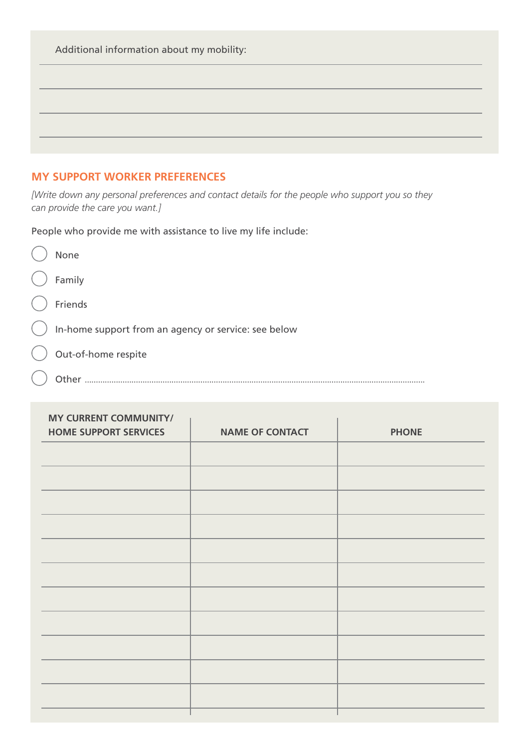| Additional information about my mobility: |  |  |
|-------------------------------------------|--|--|
|                                           |  |  |
|                                           |  |  |
|                                           |  |  |
|                                           |  |  |

#### **MY SUPPORT WORKER PREFERENCES**

*[Write down any personal preferences and contact details for the people who support you so they can provide the care you want.]* 

People who provide me with assistance to live my life include:

|          | None                                                 |
|----------|------------------------------------------------------|
| $\left($ | Family                                               |
|          | Friends                                              |
| (        | In-home support from an agency or service: see below |
|          | Out-of-home respite                                  |
|          |                                                      |

Other .........................................................................................................................................................

| <b>MY CURRENT COMMUNITY/</b><br><b>HOME SUPPORT SERVICES</b> | <b>NAME OF CONTACT</b> | <b>PHONE</b> |
|--------------------------------------------------------------|------------------------|--------------|
|                                                              |                        |              |
|                                                              |                        |              |
|                                                              |                        |              |
|                                                              |                        |              |
|                                                              |                        |              |
|                                                              |                        |              |
|                                                              |                        |              |
|                                                              |                        |              |
|                                                              |                        |              |
|                                                              |                        |              |
|                                                              |                        |              |
|                                                              |                        |              |
|                                                              |                        |              |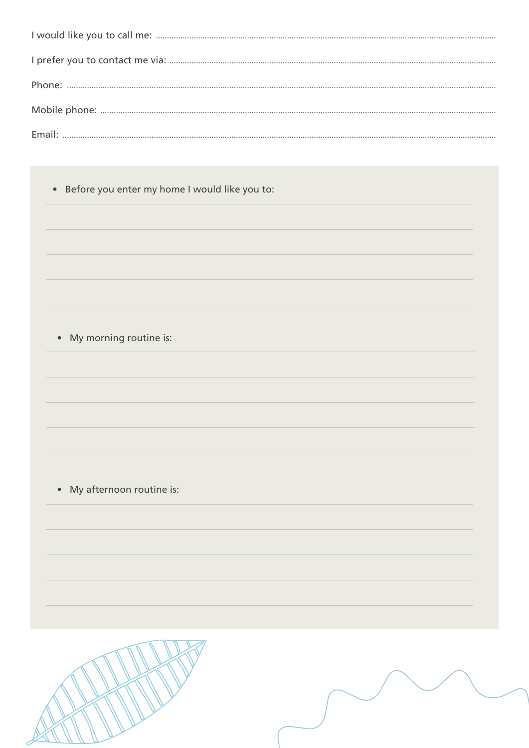• Before you enter my home I would like you to:

• My morning routine is:

• My afternoon routine is: